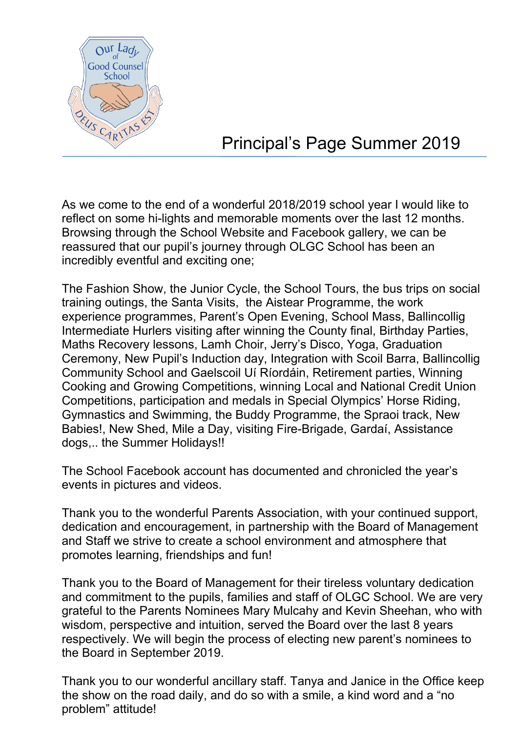

## Principal's Page Summer 2019

As we come to the end of a wonderful 2018/2019 school year I would like to reflect on some hi-lights and memorable moments over the last 12 months. Browsing through the School Website and Facebook gallery, we can be reassured that our pupil's journey through OLGC School has been an incredibly eventful and exciting one;

The Fashion Show, the Junior Cycle, the School Tours, the bus trips on social training outings, the Santa Visits, the Aistear Programme, the work experience programmes, Parent's Open Evening, School Mass, Ballincollig Intermediate Hurlers visiting after winning the County final, Birthday Parties, Maths Recovery lessons, Lamh Choir, Jerry's Disco, Yoga, Graduation Ceremony, New Pupil's Induction day, Integration with Scoil Barra, Ballincollig Community School and Gaelscoil Uí Ríordáin, Retirement parties, Winning Cooking and Growing Competitions, winning Local and National Credit Union Competitions, participation and medals in Special Olympics' Horse Riding, Gymnastics and Swimming, the Buddy Programme, the Spraoi track, New Babies!, New Shed, Mile a Day, visiting Fire-Brigade, Gardaí, Assistance dogs,.. the Summer Holidays!!

The School Facebook account has documented and chronicled the year's events in pictures and videos.

Thank you to the wonderful Parents Association, with your continued support, dedication and encouragement, in partnership with the Board of Management and Staff we strive to create a school environment and atmosphere that promotes learning, friendships and fun!

Thank you to the Board of Management for their tireless voluntary dedication and commitment to the pupils, families and staff of OLGC School. We are very grateful to the Parents Nominees Mary Mulcahy and Kevin Sheehan, who with wisdom, perspective and intuition, served the Board over the last 8 years respectively. We will begin the process of electing new parent's nominees to the Board in September 2019.

Thank you to our wonderful ancillary staff. Tanya and Janice in the Office keep the show on the road daily, and do so with a smile, a kind word and a "no problem" attitude!